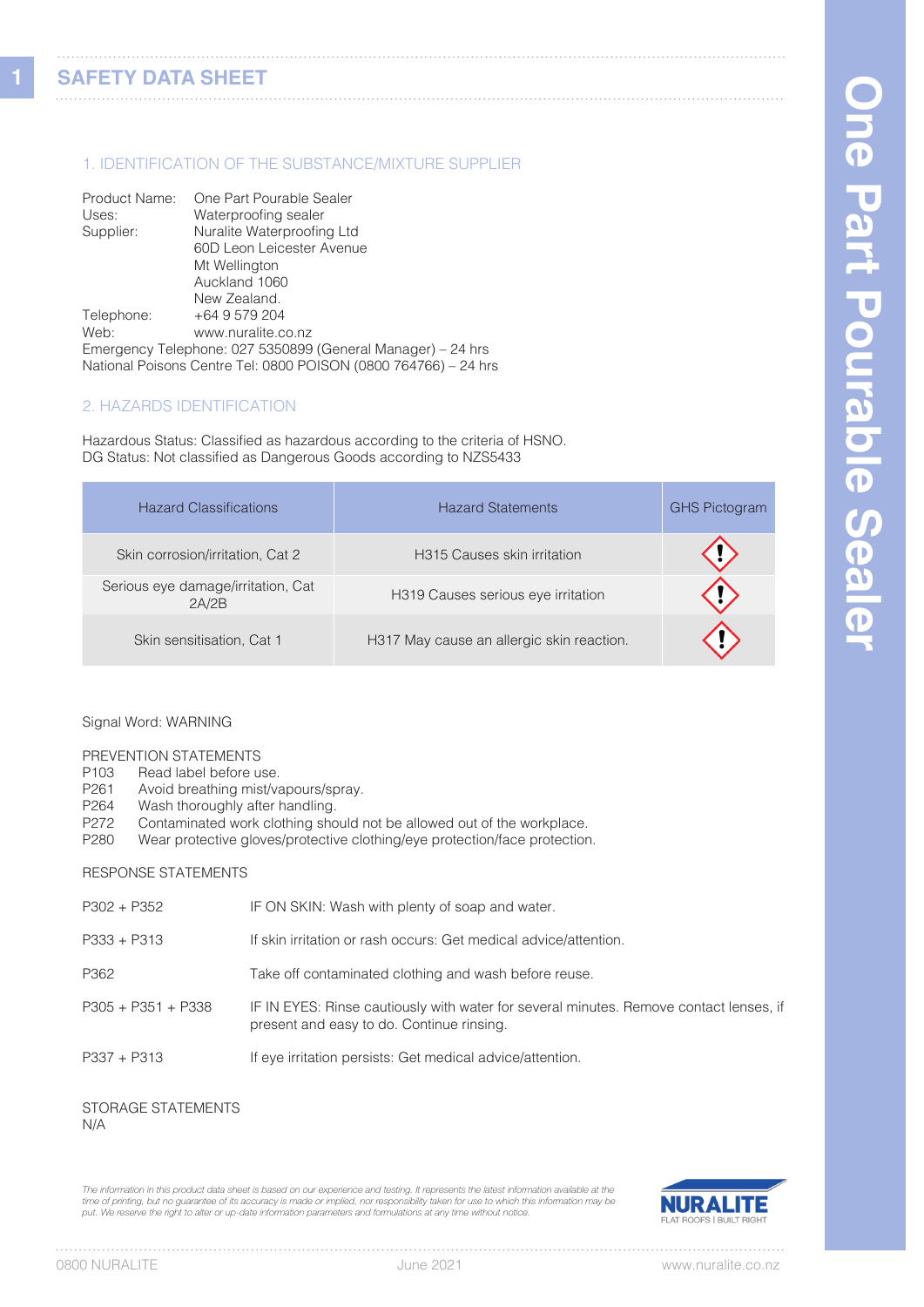**1**

# 1. IDENTIFICATION OF THE SUBSTANCE/MIXTURE SUPPLIER

| Product Name: | One Part Pourable Sealer                                        |
|---------------|-----------------------------------------------------------------|
| Uses:         | Waterproofing sealer                                            |
| Supplier:     | Nuralite Waterproofing Ltd                                      |
|               | 60D Leon Leicester Avenue                                       |
|               | Mt Wellington                                                   |
|               | Auckland 1060                                                   |
|               | New Zealand.                                                    |
| Telephone:    | +64 9 579 204                                                   |
| Web:          | www.nuralite.co.nz                                              |
|               | Emergency Telephone: 027 5350899 (General Manager) - 24 hrs     |
|               | National Poisons Centre Tel: 0800 POISON (0800 764766) - 24 hrs |

# 2. HAZARDS IDENTIFICATION

Hazardous Status: Classified as hazardous according to the criteria of HSNO. DG Status: Not classified as Dangerous Goods according to NZS5433

| <b>Hazard Classifications</b>               | <b>Hazard Statements</b>                  | <b>GHS Pictogram</b> |
|---------------------------------------------|-------------------------------------------|----------------------|
| Skin corrosion/irritation, Cat 2            | H315 Causes skin irritation               |                      |
| Serious eye damage/irritation, Cat<br>2A/2B | H319 Causes serious eye irritation        |                      |
| Skin sensitisation, Cat 1                   | H317 May cause an allergic skin reaction. |                      |

### Signal Word: WARNING

# PREVENTION STATEMENTS<br>P103 Read label before u

- Read label before use.
- P261 Avoid breathing mist/vapours/spray.<br>P264 Wash thoroughly after handling.
- Wash thoroughly after handling.
- P272 Contaminated work clothing should not be allowed out of the workplace.

# P280 Wear protective gloves/protective clothing/eye protection/face protection.

### RESPONSE STATEMENTS

| $P302 + P352$        | IF ON SKIN: Wash with plenty of soap and water.                                                                                     |
|----------------------|-------------------------------------------------------------------------------------------------------------------------------------|
| $P333 + P313$        | If skin irritation or rash occurs: Get medical advice/attention.                                                                    |
| P362                 | Take off contaminated clothing and wash before reuse.                                                                               |
| $P305 + P351 + P338$ | IF IN EYES: Rinse cautiously with water for several minutes. Remove contact lenses, if<br>present and easy to do. Continue rinsing. |
| $P337 + P313$        | If eye irritation persists: Get medical advice/attention.                                                                           |
|                      |                                                                                                                                     |

### STORAGE STATEMENTS N/A

*The information in this product data sheet is based on our experience and testing. It represents the latest information available at the*  time of printing, but no guarantee of its accuracy is made or implied, nor responsibility taken for use to which this information may be<br>put. We reserve the right to alter or up-date information parameters and formulations



. . . . . . . .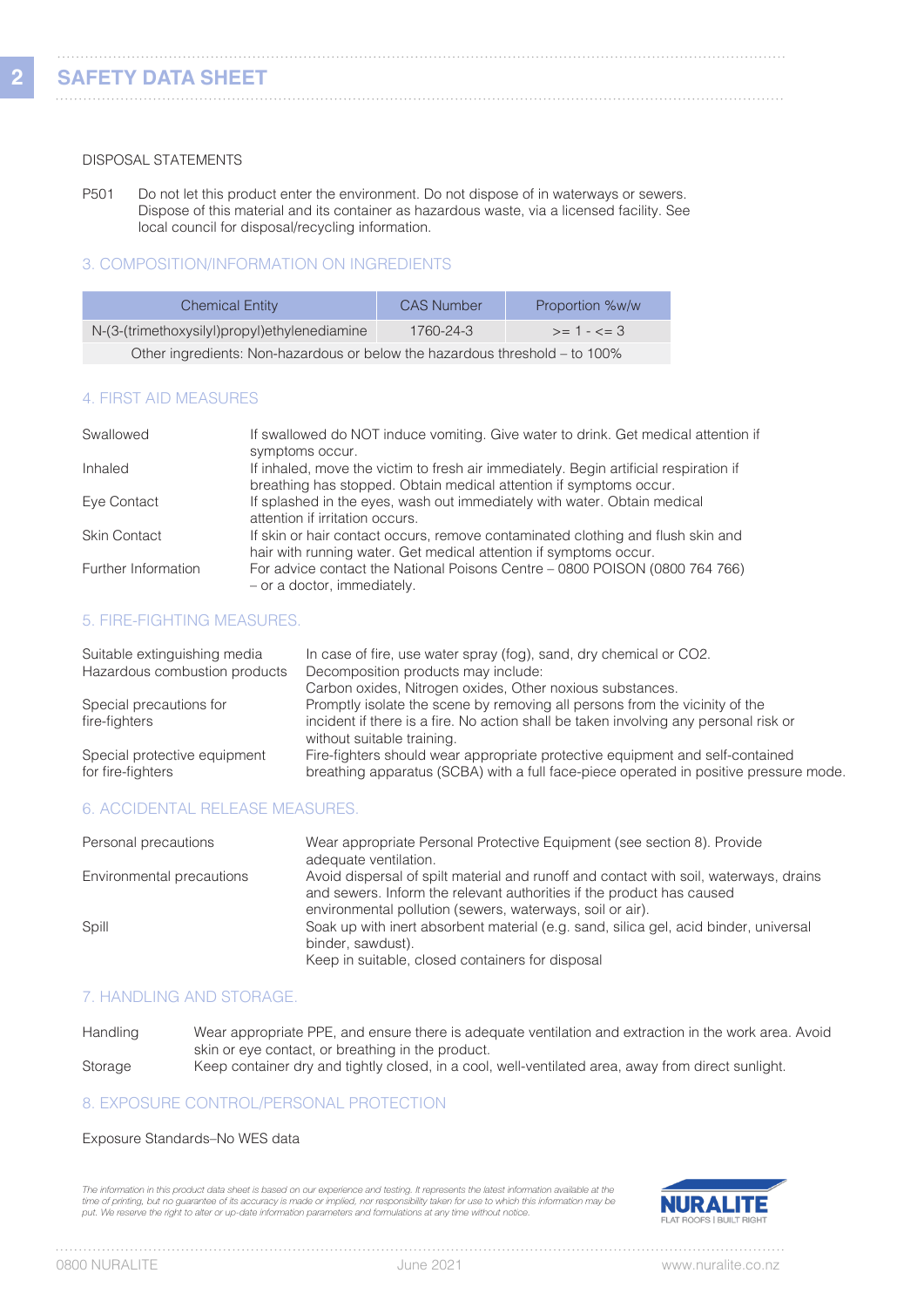**2**

### DISPOSAL STATEMENTS

P501 Do not let this product enter the environment. Do not dispose of in waterways or sewers. Dispose of this material and its container as hazardous waste, via a licensed facility. See local council for disposal/recycling information.

# 3. COMPOSITION/INFORMATION ON INGREDIENTS

| <b>Chemical Entity</b>                                                      | <b>CAS Number</b> | Proportion %w/w |
|-----------------------------------------------------------------------------|-------------------|-----------------|
| N-(3-(trimethoxysilyl)propyl)ethylenediamine                                | 1760-24-3         | $>= 1 - \le 3$  |
| Other ingredients: Non-hazardous or below the hazardous threshold – to 100% |                   |                 |

### 4. FIRST AID MEASURES

| Swallowed           | If swallowed do NOT induce vomiting. Give water to drink. Get medical attention if<br>symptoms occur.                                                       |
|---------------------|-------------------------------------------------------------------------------------------------------------------------------------------------------------|
| Inhaled             | If inhaled, move the victim to fresh air immediately. Begin artificial respiration if<br>breathing has stopped. Obtain medical attention if symptoms occur. |
| Eye Contact         | If splashed in the eyes, wash out immediately with water. Obtain medical<br>attention if irritation occurs.                                                 |
| <b>Skin Contact</b> | If skin or hair contact occurs, remove contaminated clothing and flush skin and<br>hair with running water. Get medical attention if symptoms occur.        |
| Further Information | For advice contact the National Poisons Centre - 0800 POISON (0800 764 766)<br>- or a doctor, immediately.                                                  |

# 5. FIRE-FIGHTING MEASURES.

| Suitable extinguishing media<br>Hazardous combustion products | In case of fire, use water spray (fog), sand, dry chemical or CO2.<br>Decomposition products may include:<br>Carbon oxides, Nitrogen oxides, Other noxious substances.                            |
|---------------------------------------------------------------|---------------------------------------------------------------------------------------------------------------------------------------------------------------------------------------------------|
| Special precautions for<br>fire-fighters                      | Promptly isolate the scene by removing all persons from the vicinity of the<br>incident if there is a fire. No action shall be taken involving any personal risk or<br>without suitable training. |
| Special protective equipment<br>for fire-fighters             | Fire-fighters should wear appropriate protective equipment and self-contained<br>breathing apparatus (SCBA) with a full face-piece operated in positive pressure mode.                            |

# 6. ACCIDENTAL RELEASE MEASURES.

| Personal precautions      | Wear appropriate Personal Protective Equipment (see section 8). Provide<br>adequate ventilation.                                                                                                                            |
|---------------------------|-----------------------------------------------------------------------------------------------------------------------------------------------------------------------------------------------------------------------------|
| Environmental precautions | Avoid dispersal of spilt material and runoff and contact with soil, waterways, drains<br>and sewers. Inform the relevant authorities if the product has caused<br>environmental pollution (sewers, waterways, soil or air). |
| Spill                     | Soak up with inert absorbent material (e.g. sand, silica gel, acid binder, universal<br>binder, sawdust).<br>Keep in suitable, closed containers for disposal                                                               |

# 7. HANDLING AND STORAGE.

| Handling | Wear appropriate PPE, and ensure there is adequate ventilation and extraction in the work area. Avoid |
|----------|-------------------------------------------------------------------------------------------------------|
|          | skin or eye contact, or breathing in the product.                                                     |
| Storage  | Keep container dry and tightly closed, in a cool, well-ventilated area, away from direct sunlight.    |

# 8. EXPOSURE CONTROL/PERSONAL PROTECTION

### Exposure Standards–No WES data

The information in this product data sheet is based on our experience and testing. It represents the latest information available at the time of printing, but no guarantee of its accuracy is made or implied, nor responsibility taken for use to which this information may be<br>put. We reserve the right to alter or up-date information parameters and formulations



. . . . . .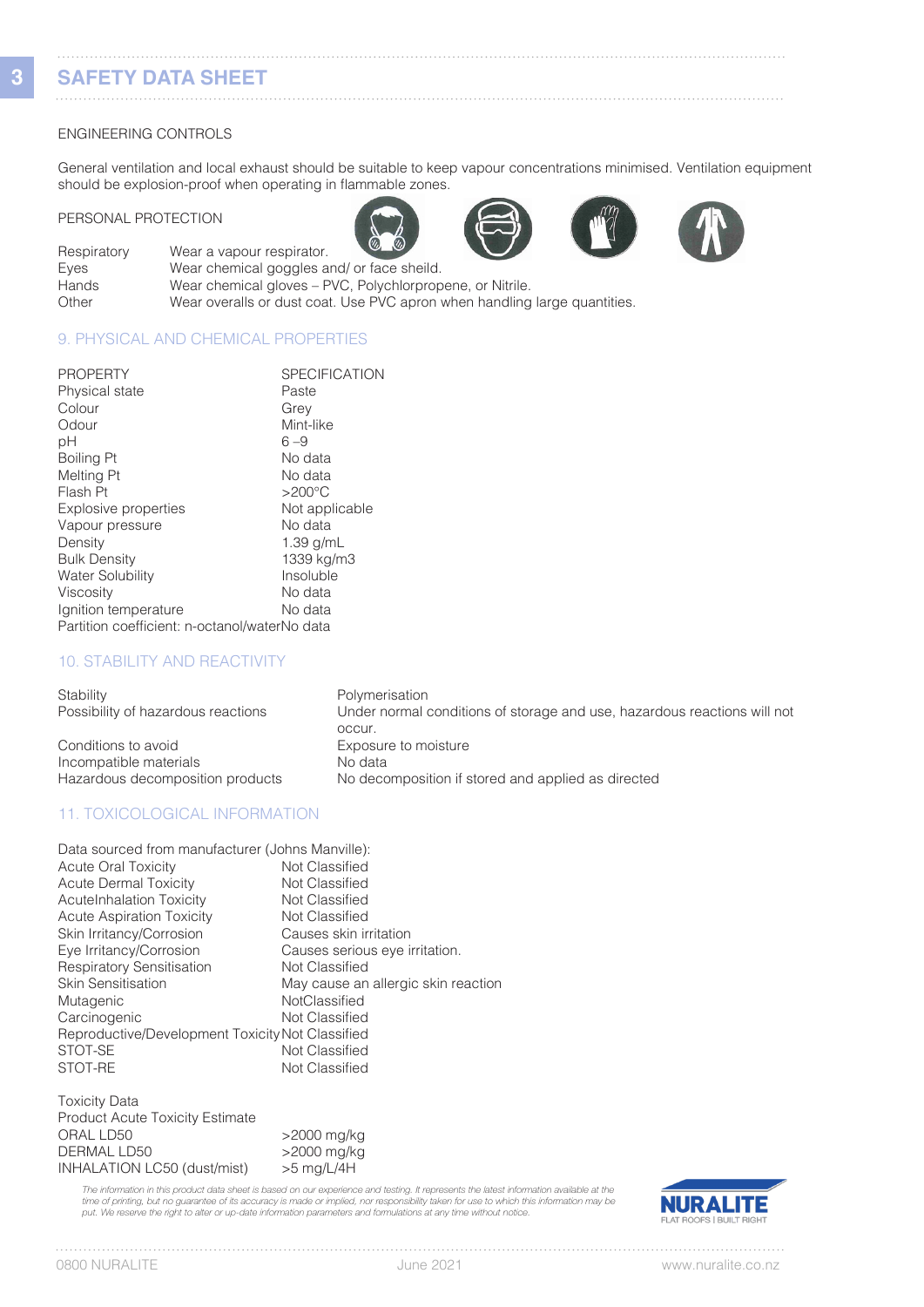# **SAFETY DATA SHEET**

### ENGINEERING CONTROLS

General ventilation and local exhaust should be suitable to keep vapour concentrations minimised. Ventilation equipment should be explosion-proof when operating in flammable zones.

#### PERSONAL PROTECTION







| Respiratory | $\sim$<br>$\sim$<br>Wear a vapour respirator.                             |
|-------------|---------------------------------------------------------------------------|
| Eves        | Wear chemical goggles and/ or face sheild.                                |
| Hands       | Wear chemical gloves – PVC, Polychlorpropene, or Nitrile.                 |
| Other       | Wear overalls or dust coat. Use PVC apron when handling large quantities. |
|             |                                                                           |

# 9. PHYSICAL AND CHEMICAL PROPERTIES

| <b>PROPERTY</b>                               | <b>SPECIFICATION</b> |
|-----------------------------------------------|----------------------|
| <b>Physical state</b>                         | Paste                |
| Colour                                        | Grey                 |
| Odour                                         | Mint-like            |
| рH                                            | $6 - 9$              |
| <b>Boiling Pt</b>                             | No data              |
| Melting Pt                                    | No data              |
| Flash Pt                                      | $>200^{\circ}$ C     |
| Explosive properties                          | Not applicable       |
| Vapour pressure                               | No data              |
| Density                                       | $1.39$ g/mL          |
| <b>Bulk Density</b>                           | 1339 kg/m3           |
| <b>Water Solubility</b>                       | Insoluble            |
| <b>Viscosity</b>                              | No data              |
| Ignition temperature                          | No data              |
| Partition coefficient: n-octanol/waterNo data |                      |

# 10. STABILITY AND REACTIVITY

| Stability                          | Polymerisation                                                           |
|------------------------------------|--------------------------------------------------------------------------|
| Possibility of hazardous reactions | Under normal conditions of storage and use, hazardous reactions will not |
| Conditions to avoid                | occur.<br>Exposure to moisture                                           |
| Incompatible materials             | No data                                                                  |
| Hazardous decomposition products   | No decomposition if stored and applied as directed                       |

# 11. TOXICOLOGICAL INFORMATION

| Data sourced from manufacturer (Johns Manville): |                                     |
|--------------------------------------------------|-------------------------------------|
| <b>Acute Oral Toxicity</b>                       | Not Classified                      |
| <b>Acute Dermal Toxicity</b>                     | Not Classified                      |
| <b>AcuteInhalation Toxicity</b>                  | Not Classified                      |
| <b>Acute Aspiration Toxicity</b>                 | Not Classified                      |
| Skin Irritancy/Corrosion                         | Causes skin irritation              |
| Eye Irritancy/Corrosion                          | Causes serious eye irritation.      |
| <b>Respiratory Sensitisation</b>                 | Not Classified                      |
| <b>Skin Sensitisation</b>                        | May cause an allergic skin reaction |
| Mutagenic                                        | NotClassified                       |
| Carcinogenic                                     | Not Classified                      |
| Reproductive/Development Toxicity Not Classified |                                     |
| STOT-SE                                          | Not Classified                      |
| STOT-RE                                          | Not Classified                      |

### Toxicity Data Product Acute Toxicity Estimate<br>ORAL LD50 ORAL LD50 >2000 mg/kg  $>$ 2000 mg/kg<br> $>$ 5 mg/L/4H INHALATION LC50 (dust/mist)

The information in this product data sheet is based on our experience and testing. It represents the latest information available at the time of printing, but no guarantee of its accuracy is made or implied, nor responsibility taken for use to which this information may be<br>put. We reserve the right to alter or up-date information parameters and formulations